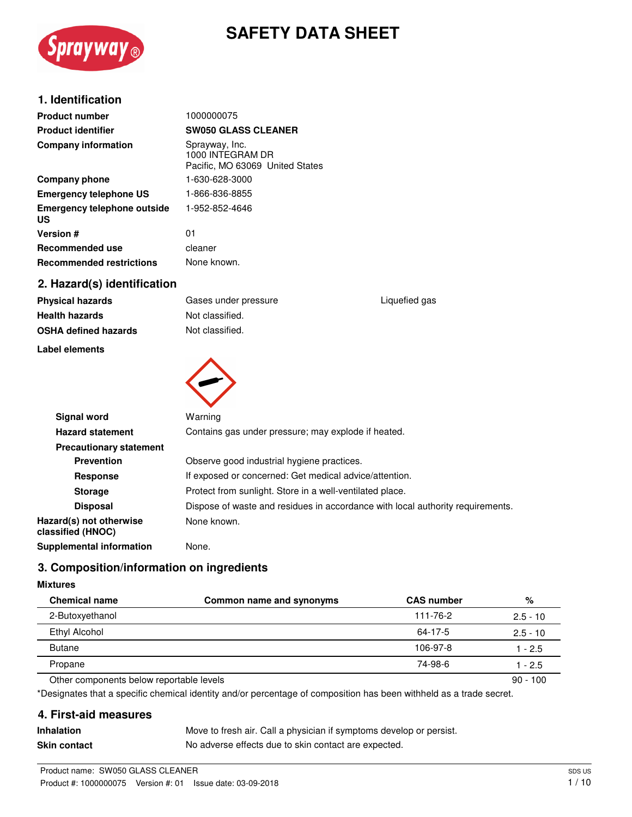

# **SAFETY DATA SHEET**

### **1. Identification**

| <b>Product number</b>                    | 1000000075                                                            |
|------------------------------------------|-----------------------------------------------------------------------|
| <b>Product identifier</b>                | <b>SW050 GLASS CLEANER</b>                                            |
| <b>Company information</b>               | Sprayway, Inc.<br>1000 INTEGRAM DR<br>Pacific, MO 63069 United States |
| Company phone                            | 1-630-628-3000                                                        |
| <b>Emergency telephone US</b>            | 1-866-836-8855                                                        |
| <b>Emergency telephone outside</b><br>US | 1-952-852-4646                                                        |
| <b>Version #</b>                         | 01                                                                    |
| <b>Recommended use</b>                   | cleaner                                                               |
| <b>Recommended restrictions</b>          | None known.                                                           |
| 2. Hazard(s) identification              |                                                                       |

| Physical hazards     |
|----------------------|
| Health hazards       |
| OSHA defined hazards |

#### **Label elements**



**Signal word** Warning **Hazard statement** Contains gas under pressure; may explode if heated. **Precautionary statement Prevention C** Observe good industrial hygiene practices. **Response** If exposed or concerned: Get medical advice/attention. **Storage** Protect from sunlight. Store in a well-ventilated place. **Disposal Dispose of waste and residues in accordance with local authority requirements. Hazard(s) not otherwise classified (HNOC)** None known. **Supplemental information** None.

# **3. Composition/information on ingredients**

#### **Mixtures**

| <b>Chemical name</b>                     | Common name and synonyms | <b>CAS number</b> | %          |
|------------------------------------------|--------------------------|-------------------|------------|
| 2-Butoxyethanol                          |                          | 111-76-2          | $2.5 - 10$ |
| Ethyl Alcohol                            |                          | 64-17-5           | $2.5 - 10$ |
| <b>Butane</b>                            |                          | 106-97-8          | 1 - 2.5    |
| Propane                                  |                          | 74-98-6           | 1 - 2.5    |
| Other components below reportable levels |                          |                   | $90 - 100$ |

\*Designates that a specific chemical identity and/or percentage of composition has been withheld as a trade secret.

### **4. First-aid measures**

| <b>Inhalation</b>   | Move to fresh air. Call a physician if symptoms develop or persist. |
|---------------------|---------------------------------------------------------------------|
| <b>Skin contact</b> | No adverse effects due to skin contact are expected.                |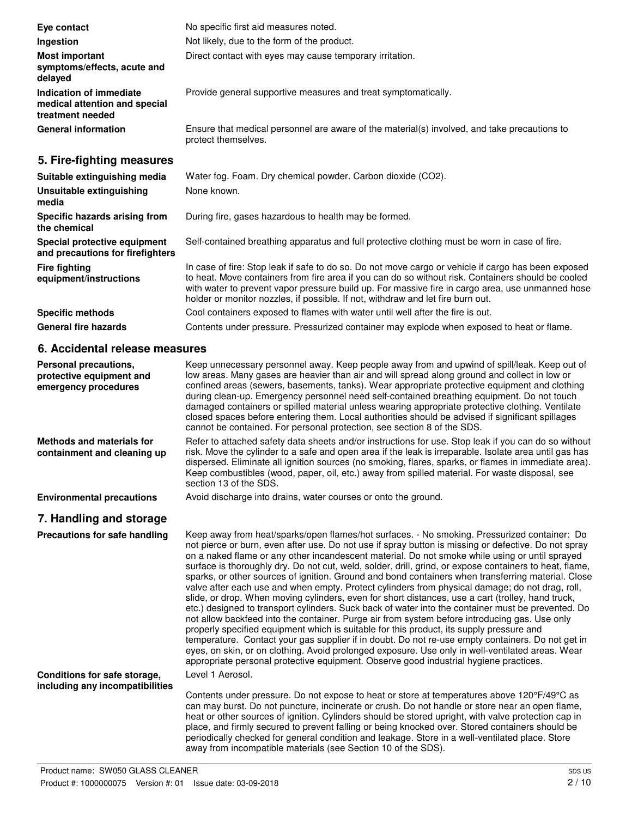| Eye contact                                                                  | No specific first aid measures noted.                                                                                                                                                                                                                                                                                                                                                            |
|------------------------------------------------------------------------------|--------------------------------------------------------------------------------------------------------------------------------------------------------------------------------------------------------------------------------------------------------------------------------------------------------------------------------------------------------------------------------------------------|
| Ingestion                                                                    | Not likely, due to the form of the product.                                                                                                                                                                                                                                                                                                                                                      |
| <b>Most important</b><br>symptoms/effects, acute and<br>delayed              | Direct contact with eyes may cause temporary irritation.                                                                                                                                                                                                                                                                                                                                         |
| Indication of immediate<br>medical attention and special<br>treatment needed | Provide general supportive measures and treat symptomatically.                                                                                                                                                                                                                                                                                                                                   |
| <b>General information</b>                                                   | Ensure that medical personnel are aware of the material(s) involved, and take precautions to<br>protect themselves.                                                                                                                                                                                                                                                                              |
| 5. Fire-fighting measures                                                    |                                                                                                                                                                                                                                                                                                                                                                                                  |
| Suitable extinguishing media                                                 | Water fog. Foam. Dry chemical powder. Carbon dioxide (CO2).                                                                                                                                                                                                                                                                                                                                      |
| Unsuitable extinguishing<br>media                                            | None known.                                                                                                                                                                                                                                                                                                                                                                                      |
| Specific hazards arising from<br>the chemical                                | During fire, gases hazardous to health may be formed.                                                                                                                                                                                                                                                                                                                                            |
| Special protective equipment<br>and precautions for firefighters             | Self-contained breathing apparatus and full protective clothing must be worn in case of fire.                                                                                                                                                                                                                                                                                                    |
| <b>Fire fighting</b><br>equipment/instructions                               | In case of fire: Stop leak if safe to do so. Do not move cargo or vehicle if cargo has been exposed<br>to heat. Move containers from fire area if you can do so without risk. Containers should be cooled<br>with water to prevent vapor pressure build up. For massive fire in cargo area, use unmanned hose<br>holder or monitor nozzles, if possible. If not, withdraw and let fire burn out. |
| <b>Specific methods</b>                                                      | Cool containers exposed to flames with water until well after the fire is out.                                                                                                                                                                                                                                                                                                                   |
| <b>General fire hazards</b>                                                  | Contents under pressure. Pressurized container may explode when exposed to heat or flame.                                                                                                                                                                                                                                                                                                        |
| 6. Accidental release measures                                               |                                                                                                                                                                                                                                                                                                                                                                                                  |
| Personal precautions,<br>protective equipment and<br>emergency procedures    | Keep unnecessary personnel away. Keep people away from and upwind of spill/leak. Keep out of<br>low areas. Many gases are heavier than air and will spread along ground and collect in low or<br>confined areas (sewers, basements, tanks). Wear appropriate protective equipment and clothing<br>during clean-up. Emergency personnel need self-contained breathing equipment. Do not touch     |

damaged containers or spilled material unless wearing appropriate protective clothing. Ventilate closed spaces before entering them. Local authorities should be advised if significant spillages cannot be contained. For personal protection, see section 8 of the SDS.

> place, and firmly secured to prevent falling or being knocked over. Stored containers should be periodically checked for general condition and leakage. Store in a well-ventilated place. Store

Refer to attached safety data sheets and/or instructions for use. Stop leak if you can do so without risk. Move the cylinder to a safe and open area if the leak is irreparable. Isolate area until gas has dispersed. Eliminate all ignition sources (no smoking, flares, sparks, or flames in immediate area). Keep combustibles (wood, paper, oil, etc.) away from spilled material. For waste disposal, see section 13 of the SDS. **Methods and materials for containment and cleaning up**

**Environmental precautions** Avoid discharge into drains, water courses or onto the ground.

### **7. Handling and storage**

Keep away from heat/sparks/open flames/hot surfaces. - No smoking. Pressurized container: Do not pierce or burn, even after use. Do not use if spray button is missing or defective. Do not spray on a naked flame or any other incandescent material. Do not smoke while using or until sprayed surface is thoroughly dry. Do not cut, weld, solder, drill, grind, or expose containers to heat, flame, sparks, or other sources of ignition. Ground and bond containers when transferring material. Close valve after each use and when empty. Protect cylinders from physical damage; do not drag, roll, slide, or drop. When moving cylinders, even for short distances, use a cart (trolley, hand truck, etc.) designed to transport cylinders. Suck back of water into the container must be prevented. Do not allow backfeed into the container. Purge air from system before introducing gas. Use only properly specified equipment which is suitable for this product, its supply pressure and temperature. Contact your gas supplier if in doubt. Do not re-use empty containers. Do not get in eyes, on skin, or on clothing. Avoid prolonged exposure. Use only in well-ventilated areas. Wear appropriate personal protective equipment. Observe good industrial hygiene practices. **Precautions for safe handling** Level 1 Aerosol. Contents under pressure. Do not expose to heat or store at temperatures above 120°F/49°C as can may burst. Do not puncture, incinerate or crush. Do not handle or store near an open flame, heat or other sources of ignition. Cylinders should be stored upright, with valve protection cap in **Conditions for safe storage, including any incompatibilities**

away from incompatible materials (see Section 10 of the SDS).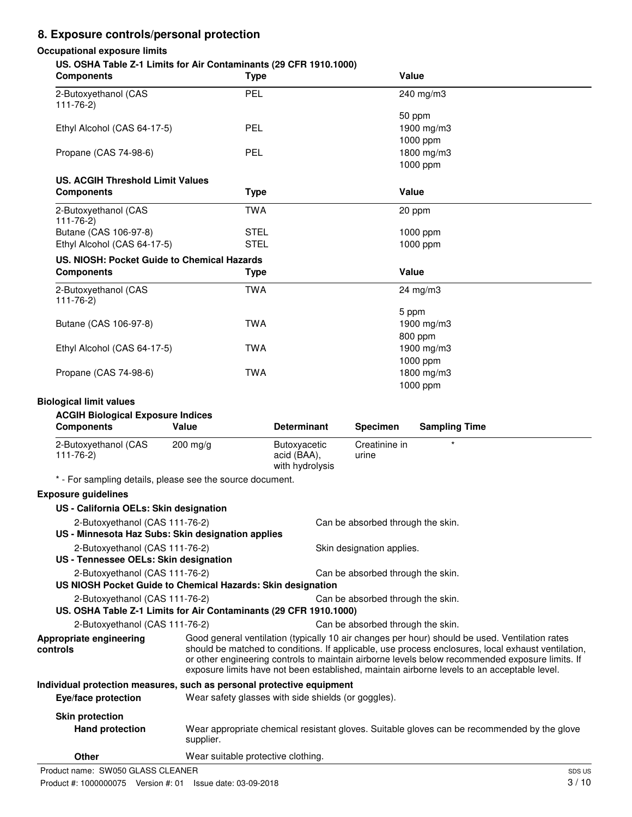# **8. Exposure controls/personal protection**

#### **Occupational exposure limits**

#### **US. OSHA Table Z-1 Limits for Air Contaminants (29 CFR 1910.1000)**

| 00. 001 IA TUDIC ET EINING TOT AIT OONIGHIINGING (20 01 11 TOTO. 1000)<br><b>Components</b> | <b>Type</b> | Value      |  |
|---------------------------------------------------------------------------------------------|-------------|------------|--|
| 2-Butoxyethanol (CAS<br>$111 - 76 - 2$                                                      | PEL         | 240 mg/m3  |  |
|                                                                                             |             | 50 ppm     |  |
| Ethyl Alcohol (CAS 64-17-5)                                                                 | PEL         | 1900 mg/m3 |  |
|                                                                                             |             | 1000 ppm   |  |
| Propane (CAS 74-98-6)                                                                       | PEL         | 1800 mg/m3 |  |
|                                                                                             |             | 1000 ppm   |  |
| <b>US. ACGIH Threshold Limit Values</b>                                                     |             |            |  |
| <b>Components</b>                                                                           | <b>Type</b> | Value      |  |
| 2-Butoxyethanol (CAS<br>$111 - 76 - 2$                                                      | <b>TWA</b>  | 20 ppm     |  |
| Butane (CAS 106-97-8)                                                                       | <b>STEL</b> | 1000 ppm   |  |
| Ethyl Alcohol (CAS 64-17-5)                                                                 | <b>STEL</b> | 1000 ppm   |  |
| US. NIOSH: Pocket Guide to Chemical Hazards                                                 |             |            |  |
| <b>Components</b>                                                                           | <b>Type</b> | Value      |  |
| 2-Butoxyethanol (CAS<br>$111 - 76 - 2$                                                      | <b>TWA</b>  | 24 mg/m3   |  |
|                                                                                             |             | 5 ppm      |  |
| Butane (CAS 106-97-8)                                                                       | <b>TWA</b>  | 1900 mg/m3 |  |
|                                                                                             |             | 800 ppm    |  |
| Ethyl Alcohol (CAS 64-17-5)                                                                 | <b>TWA</b>  | 1900 mg/m3 |  |
|                                                                                             |             | 1000 ppm   |  |
| Propane (CAS 74-98-6)                                                                       | <b>TWA</b>  | 1800 mg/m3 |  |
|                                                                                             |             | 1000 ppm   |  |

#### **Biological limit values**

#### **ACGIH Biological Exposure Indices**

| <b>Components</b>                 | Value              | <b>Determinant</b>                             | <b>Specimen</b>        | <b>Sampling Time</b> |
|-----------------------------------|--------------------|------------------------------------------------|------------------------|----------------------|
| 2-Butoxyethanol (CAS<br>111-76-2) | $200 \text{ mg/g}$ | Butoxyacetic<br>acid (BAA),<br>with hydrolysis | Creatinine in<br>urıne |                      |

\* - For sampling details, please see the source document.

#### **Exposure guidelines**

| US - California OELs: Skin designation                                |                                                                                                                                                                                                                                                                                                                                                                                                        |                                                                                             |
|-----------------------------------------------------------------------|--------------------------------------------------------------------------------------------------------------------------------------------------------------------------------------------------------------------------------------------------------------------------------------------------------------------------------------------------------------------------------------------------------|---------------------------------------------------------------------------------------------|
| 2-Butoxyethanol (CAS 111-76-2)                                        |                                                                                                                                                                                                                                                                                                                                                                                                        | Can be absorbed through the skin.                                                           |
| US - Minnesota Haz Subs: Skin designation applies                     |                                                                                                                                                                                                                                                                                                                                                                                                        |                                                                                             |
| 2-Butoxyethanol (CAS 111-76-2)                                        |                                                                                                                                                                                                                                                                                                                                                                                                        | Skin designation applies.                                                                   |
| US - Tennessee OELs: Skin designation                                 |                                                                                                                                                                                                                                                                                                                                                                                                        |                                                                                             |
| 2-Butoxyethanol (CAS 111-76-2)                                        |                                                                                                                                                                                                                                                                                                                                                                                                        | Can be absorbed through the skin.                                                           |
|                                                                       | US NIOSH Pocket Guide to Chemical Hazards: Skin designation                                                                                                                                                                                                                                                                                                                                            |                                                                                             |
| 2-Butoxyethanol (CAS 111-76-2)                                        |                                                                                                                                                                                                                                                                                                                                                                                                        | Can be absorbed through the skin.                                                           |
|                                                                       | US. OSHA Table Z-1 Limits for Air Contaminants (29 CFR 1910.1000)                                                                                                                                                                                                                                                                                                                                      |                                                                                             |
| 2-Butoxyethanol (CAS 111-76-2)                                        |                                                                                                                                                                                                                                                                                                                                                                                                        | Can be absorbed through the skin.                                                           |
| Appropriate engineering<br>controls                                   | Good general ventilation (typically 10 air changes per hour) should be used. Ventilation rates<br>should be matched to conditions. If applicable, use process enclosures, local exhaust ventilation,<br>or other engineering controls to maintain airborne levels below recommended exposure limits. If<br>exposure limits have not been established, maintain airborne levels to an acceptable level. |                                                                                             |
| Individual protection measures, such as personal protective equipment |                                                                                                                                                                                                                                                                                                                                                                                                        |                                                                                             |
| Eye/face protection                                                   | Wear safety glasses with side shields (or goggles).                                                                                                                                                                                                                                                                                                                                                    |                                                                                             |
| <b>Skin protection</b>                                                |                                                                                                                                                                                                                                                                                                                                                                                                        |                                                                                             |
| <b>Hand protection</b>                                                | supplier.                                                                                                                                                                                                                                                                                                                                                                                              | Wear appropriate chemical resistant gloves. Suitable gloves can be recommended by the glove |
| Other                                                                 | Wear suitable protective clothing.                                                                                                                                                                                                                                                                                                                                                                     |                                                                                             |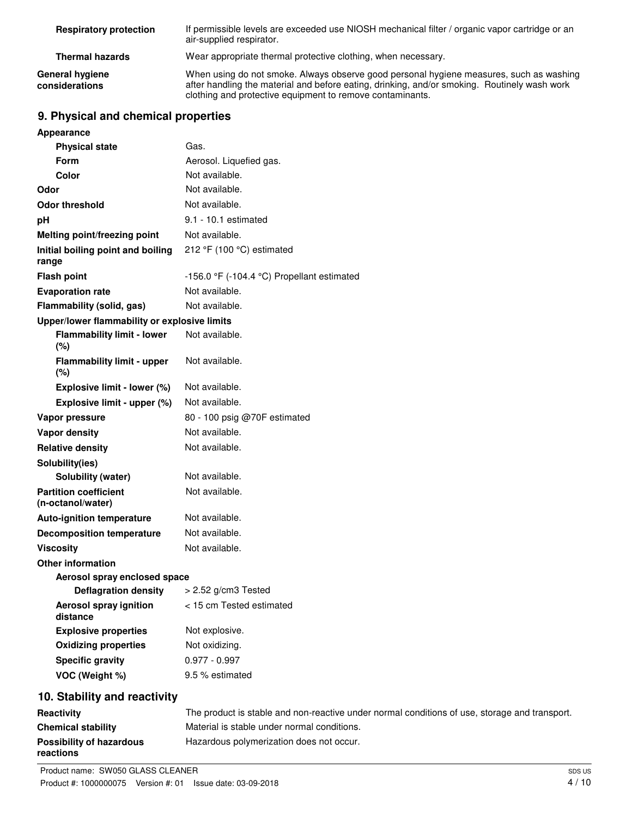| <b>Respiratory protection</b>     | If permissible levels are exceeded use NIOSH mechanical filter / organic vapor cartridge or an<br>air-supplied respirator.                                                                                                                           |
|-----------------------------------|------------------------------------------------------------------------------------------------------------------------------------------------------------------------------------------------------------------------------------------------------|
| <b>Thermal hazards</b>            | Wear appropriate thermal protective clothing, when necessary.                                                                                                                                                                                        |
| General hygiene<br>considerations | When using do not smoke. Always observe good personal hygiene measures, such as washing<br>after handling the material and before eating, drinking, and/or smoking. Routinely wash work<br>clothing and protective equipment to remove contaminants. |

# **9. Physical and chemical properties**

| Appearance                                        |                                            |
|---------------------------------------------------|--------------------------------------------|
| <b>Physical state</b>                             | Gas.                                       |
| <b>Form</b>                                       | Aerosol. Liquefied gas.                    |
| Color                                             | Not available.                             |
| Odor                                              | Not available.                             |
| <b>Odor threshold</b>                             | Not available.                             |
| рH                                                | 9.1 - 10.1 estimated                       |
| Melting point/freezing point                      | Not available.                             |
| Initial boiling point and boiling<br>range        | 212 °F (100 °C) estimated                  |
| <b>Flash point</b>                                | -156.0 °F (-104.4 °C) Propellant estimated |
| <b>Evaporation rate</b>                           | Not available.                             |
| Flammability (solid, gas)                         | Not available.                             |
| Upper/lower flammability or explosive limits      |                                            |
| <b>Flammability limit - lower</b><br>(%)          | Not available.                             |
| <b>Flammability limit - upper</b><br>$(\%)$       | Not available.                             |
| Explosive limit - lower (%)                       | Not available.                             |
| Explosive limit - upper (%)                       | Not available.                             |
| Vapor pressure                                    | 80 - 100 psig @70F estimated               |
| <b>Vapor density</b>                              | Not available.                             |
| <b>Relative density</b>                           | Not available.                             |
| Solubility(ies)                                   |                                            |
| Solubility (water)                                | Not available.                             |
| <b>Partition coefficient</b><br>(n-octanol/water) | Not available.                             |
| <b>Auto-ignition temperature</b>                  | Not available.                             |
| <b>Decomposition temperature</b>                  | Not available.                             |
| <b>Viscosity</b>                                  | Not available.                             |
| <b>Other information</b>                          |                                            |
| Aerosol spray enclosed space                      |                                            |
| Deflagration density > 2.52 g/cm3 Tested          |                                            |
| Aerosol spray ignition<br>distance                | < 15 cm Tested estimated                   |
| <b>Explosive properties</b>                       | Not explosive.                             |
| <b>Oxidizing properties</b>                       | Not oxidizing.                             |
| <b>Specific gravity</b>                           | $0.977 - 0.997$                            |
| VOC (Weight %)                                    | 9.5 % estimated                            |
|                                                   |                                            |

# **10. Stability and reactivity**

| Reactivity                | The product is stable and non-reactive under normal conditions of use, storage and transport. |
|---------------------------|-----------------------------------------------------------------------------------------------|
| <b>Chemical stability</b> | Material is stable under normal conditions.                                                   |
| Possibility of hazardous  | Hazardous polymerization does not occur.                                                      |
| reactions                 |                                                                                               |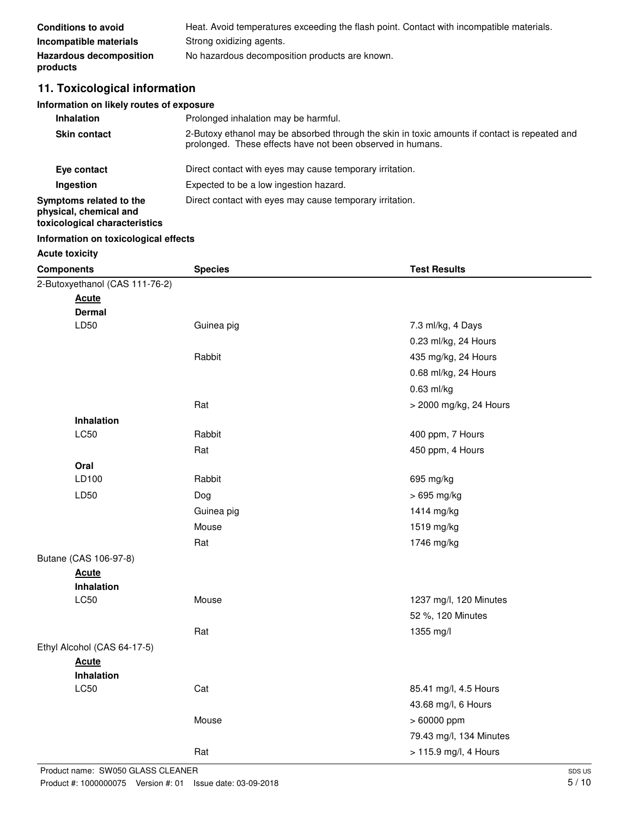| <b>Conditions to avoid</b>                 | Heat. Avoid temperatures exceeding the flash point. Contact with incompatible materials. |
|--------------------------------------------|------------------------------------------------------------------------------------------|
| Incompatible materials                     | Strong oxidizing agents.                                                                 |
| <b>Hazardous decomposition</b><br>products | No hazardous decomposition products are known.                                           |

# **11. Toxicological information**

#### **Information on likely routes of exposure**

| <b>Inhalation</b>                                                                  | Prolonged inhalation may be harmful.                                                                                                                        |
|------------------------------------------------------------------------------------|-------------------------------------------------------------------------------------------------------------------------------------------------------------|
| <b>Skin contact</b>                                                                | 2-Butoxy ethanol may be absorbed through the skin in toxic amounts if contact is repeated and<br>prolonged. These effects have not been observed in humans. |
| Eye contact                                                                        | Direct contact with eyes may cause temporary irritation.                                                                                                    |
| Ingestion                                                                          | Expected to be a low ingestion hazard.                                                                                                                      |
| Symptoms related to the<br>physical, chemical and<br>toxicological characteristics | Direct contact with eyes may cause temporary irritation.                                                                                                    |

#### **Information on toxicological effects**

# **Acute toxicity**

| <b>Components</b>              | <b>Species</b> | <b>Test Results</b>     |
|--------------------------------|----------------|-------------------------|
| 2-Butoxyethanol (CAS 111-76-2) |                |                         |
| <b>Acute</b>                   |                |                         |
| <b>Dermal</b>                  |                |                         |
| LD50                           | Guinea pig     | 7.3 ml/kg, 4 Days       |
|                                |                | 0.23 ml/kg, 24 Hours    |
|                                | Rabbit         | 435 mg/kg, 24 Hours     |
|                                |                | 0.68 ml/kg, 24 Hours    |
|                                |                | $0.63$ ml/kg            |
|                                | Rat            | > 2000 mg/kg, 24 Hours  |
| Inhalation                     |                |                         |
| <b>LC50</b>                    | Rabbit         | 400 ppm, 7 Hours        |
|                                | Rat            | 450 ppm, 4 Hours        |
| Oral                           |                |                         |
| LD100                          | Rabbit         | 695 mg/kg               |
| LD50                           | Dog            | > 695 mg/kg             |
|                                | Guinea pig     | 1414 mg/kg              |
|                                | Mouse          | 1519 mg/kg              |
|                                | Rat            | 1746 mg/kg              |
| Butane (CAS 106-97-8)          |                |                         |
| <b>Acute</b>                   |                |                         |
| <b>Inhalation</b>              |                |                         |
| <b>LC50</b>                    | Mouse          | 1237 mg/l, 120 Minutes  |
|                                |                | 52 %, 120 Minutes       |
|                                | Rat            | 1355 mg/l               |
| Ethyl Alcohol (CAS 64-17-5)    |                |                         |
| <b>Acute</b>                   |                |                         |
| Inhalation                     |                |                         |
| <b>LC50</b>                    | Cat            | 85.41 mg/l, 4.5 Hours   |
|                                |                | 43.68 mg/l, 6 Hours     |
|                                | Mouse          | > 60000 ppm             |
|                                |                | 79.43 mg/l, 134 Minutes |
|                                | Rat            | > 115.9 mg/l, 4 Hours   |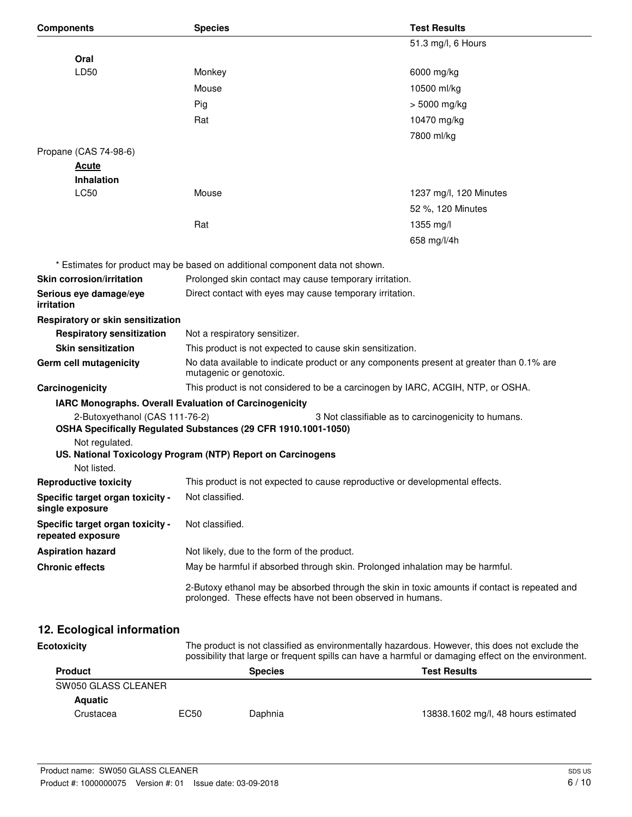| <b>Components</b>                                     | <b>Species</b>                                                                                                                                              | <b>Test Results</b>                                 |
|-------------------------------------------------------|-------------------------------------------------------------------------------------------------------------------------------------------------------------|-----------------------------------------------------|
|                                                       |                                                                                                                                                             | 51.3 mg/l, 6 Hours                                  |
| Oral                                                  |                                                                                                                                                             |                                                     |
| LD50                                                  | Monkey                                                                                                                                                      | 6000 mg/kg                                          |
|                                                       | Mouse                                                                                                                                                       | 10500 ml/kg                                         |
|                                                       | Pig                                                                                                                                                         | $>$ 5000 mg/kg                                      |
|                                                       | Rat                                                                                                                                                         | 10470 mg/kg                                         |
|                                                       |                                                                                                                                                             | 7800 ml/kg                                          |
| Propane (CAS 74-98-6)                                 |                                                                                                                                                             |                                                     |
| <u>Acute</u>                                          |                                                                                                                                                             |                                                     |
| <b>Inhalation</b>                                     |                                                                                                                                                             |                                                     |
| LC50                                                  | Mouse                                                                                                                                                       | 1237 mg/l, 120 Minutes                              |
|                                                       |                                                                                                                                                             | 52 %, 120 Minutes                                   |
|                                                       | Rat                                                                                                                                                         | 1355 mg/l                                           |
|                                                       |                                                                                                                                                             | 658 mg/l/4h                                         |
|                                                       |                                                                                                                                                             |                                                     |
| Skin corrosion/irritation                             | * Estimates for product may be based on additional component data not shown.<br>Prolonged skin contact may cause temporary irritation.                      |                                                     |
| Serious eye damage/eye                                | Direct contact with eyes may cause temporary irritation.                                                                                                    |                                                     |
| irritation                                            |                                                                                                                                                             |                                                     |
| Respiratory or skin sensitization                     |                                                                                                                                                             |                                                     |
| <b>Respiratory sensitization</b>                      | Not a respiratory sensitizer.                                                                                                                               |                                                     |
| <b>Skin sensitization</b>                             | This product is not expected to cause skin sensitization.                                                                                                   |                                                     |
| Germ cell mutagenicity                                | No data available to indicate product or any components present at greater than 0.1% are<br>mutagenic or genotoxic.                                         |                                                     |
| Carcinogenicity                                       | This product is not considered to be a carcinogen by IARC, ACGIH, NTP, or OSHA.                                                                             |                                                     |
|                                                       | IARC Monographs. Overall Evaluation of Carcinogenicity                                                                                                      |                                                     |
| 2-Butoxyethanol (CAS 111-76-2)                        | OSHA Specifically Regulated Substances (29 CFR 1910.1001-1050)                                                                                              | 3 Not classifiable as to carcinogenicity to humans. |
| Not regulated.                                        | US. National Toxicology Program (NTP) Report on Carcinogens                                                                                                 |                                                     |
| Not listed.                                           |                                                                                                                                                             |                                                     |
| <b>Reproductive toxicity</b>                          | This product is not expected to cause reproductive or developmental effects.                                                                                |                                                     |
| Specific target organ toxicity -<br>single exposure   | Not classified.                                                                                                                                             |                                                     |
| Specific target organ toxicity -<br>repeated exposure | Not classified.                                                                                                                                             |                                                     |
| <b>Aspiration hazard</b>                              | Not likely, due to the form of the product.                                                                                                                 |                                                     |
| <b>Chronic effects</b>                                | May be harmful if absorbed through skin. Prolonged inhalation may be harmful.                                                                               |                                                     |
|                                                       | 2-Butoxy ethanol may be absorbed through the skin in toxic amounts if contact is repeated and<br>prolonged. These effects have not been observed in humans. |                                                     |
| 12. Ecological information                            |                                                                                                                                                             |                                                     |

| <b>Ecotoxicity</b>  |                                       | The product is not classified as environmentally hazardous. However, this does not exclude the<br>possibility that large or frequent spills can have a harmful or damaging effect on the environment. |                                     |  |
|---------------------|---------------------------------------|-------------------------------------------------------------------------------------------------------------------------------------------------------------------------------------------------------|-------------------------------------|--|
| <b>Product</b>      | <b>Test Results</b><br><b>Species</b> |                                                                                                                                                                                                       |                                     |  |
| SW050 GLASS CLEANER |                                       |                                                                                                                                                                                                       |                                     |  |
| <b>Aquatic</b>      |                                       |                                                                                                                                                                                                       |                                     |  |
| Crustacea           | EC50                                  | Daphnia                                                                                                                                                                                               | 13838.1602 mg/l, 48 hours estimated |  |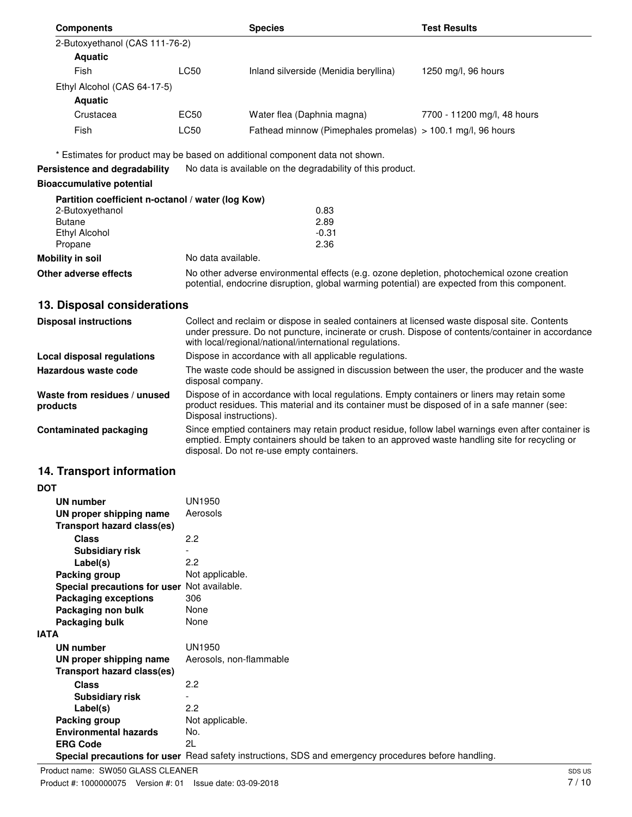| <b>Components</b>              |                  | <b>Species</b>                                                | <b>Test Results</b>         |
|--------------------------------|------------------|---------------------------------------------------------------|-----------------------------|
| 2-Butoxyethanol (CAS 111-76-2) |                  |                                                               |                             |
| <b>Aquatic</b>                 |                  |                                                               |                             |
| Fish                           | LC50             | Inland silverside (Menidia beryllina)                         | 1250 mg/l, 96 hours         |
| Ethyl Alcohol (CAS 64-17-5)    |                  |                                                               |                             |
| <b>Aquatic</b>                 |                  |                                                               |                             |
| Crustacea                      | EC <sub>50</sub> | Water flea (Daphnia magna)                                    | 7700 - 11200 mg/l, 48 hours |
| Fish                           | LC50             | Fathead minnow (Pimephales promelas) $> 100.1$ mg/l, 96 hours |                             |

\* Estimates for product may be based on additional component data not shown.

**Persistence and degradability** No data is available on the degradability of this product.

#### **Bioaccumulative potential**

|                         | Partition coefficient n-octanol / water (log Kow)                                                                                                                                          |
|-------------------------|--------------------------------------------------------------------------------------------------------------------------------------------------------------------------------------------|
| 2-Butoxyethanol         | 0.83                                                                                                                                                                                       |
| <b>Butane</b>           | 2.89                                                                                                                                                                                       |
| Ethyl Alcohol           | $-0.31$                                                                                                                                                                                    |
| Propane                 | 2.36                                                                                                                                                                                       |
| <b>Mobility in soil</b> | No data available.                                                                                                                                                                         |
| Other adverse effects   | No other adverse environmental effects (e.g. ozone depletion, photochemical ozone creation<br>potential, endocrine disruption, global warming potential) are expected from this component. |

# **13. Disposal considerations**

| <b>Disposal instructions</b>             | Collect and reclaim or dispose in sealed containers at licensed waste disposal site. Contents<br>under pressure. Do not puncture, incinerate or crush. Dispose of contents/container in accordance<br>with local/regional/national/international regulations. |
|------------------------------------------|---------------------------------------------------------------------------------------------------------------------------------------------------------------------------------------------------------------------------------------------------------------|
| Local disposal regulations               | Dispose in accordance with all applicable regulations.                                                                                                                                                                                                        |
| Hazardous waste code                     | The waste code should be assigned in discussion between the user, the producer and the waste<br>disposal company.                                                                                                                                             |
| Waste from residues / unused<br>products | Dispose of in accordance with local regulations. Empty containers or liners may retain some<br>product residues. This material and its container must be disposed of in a safe manner (see:<br>Disposal instructions).                                        |
| <b>Contaminated packaging</b>            | Since emptied containers may retain product residue, follow label warnings even after container is<br>emptied. Empty containers should be taken to an approved waste handling site for recycling or<br>disposal. Do not re-use empty containers.              |

# **14. Transport information**

| <b>DOT</b>                                  |                                                                                                      |
|---------------------------------------------|------------------------------------------------------------------------------------------------------|
| UN number                                   | <b>UN1950</b>                                                                                        |
| UN proper shipping name                     | Aerosols                                                                                             |
| <b>Transport hazard class(es)</b>           |                                                                                                      |
| <b>Class</b>                                | 2.2                                                                                                  |
| <b>Subsidiary risk</b>                      |                                                                                                      |
| Label(s)                                    | 2.2                                                                                                  |
| Packing group                               | Not applicable.                                                                                      |
| Special precautions for user Not available. |                                                                                                      |
| <b>Packaging exceptions</b>                 | 306                                                                                                  |
| Packaging non bulk                          | None                                                                                                 |
| Packaging bulk                              | None                                                                                                 |
| <b>IATA</b>                                 |                                                                                                      |
| UN number                                   | <b>UN1950</b>                                                                                        |
| UN proper shipping name                     | Aerosols, non-flammable                                                                              |
| Transport hazard class(es)                  |                                                                                                      |
| <b>Class</b>                                | 2.2                                                                                                  |
| <b>Subsidiary risk</b>                      |                                                                                                      |
| Label(s)                                    | 2.2                                                                                                  |
| Packing group                               | Not applicable.                                                                                      |
| <b>Environmental hazards</b>                | No.                                                                                                  |
| <b>ERG Code</b>                             | 2L                                                                                                   |
|                                             | Special precautions for user Read safety instructions, SDS and emergency procedures before handling. |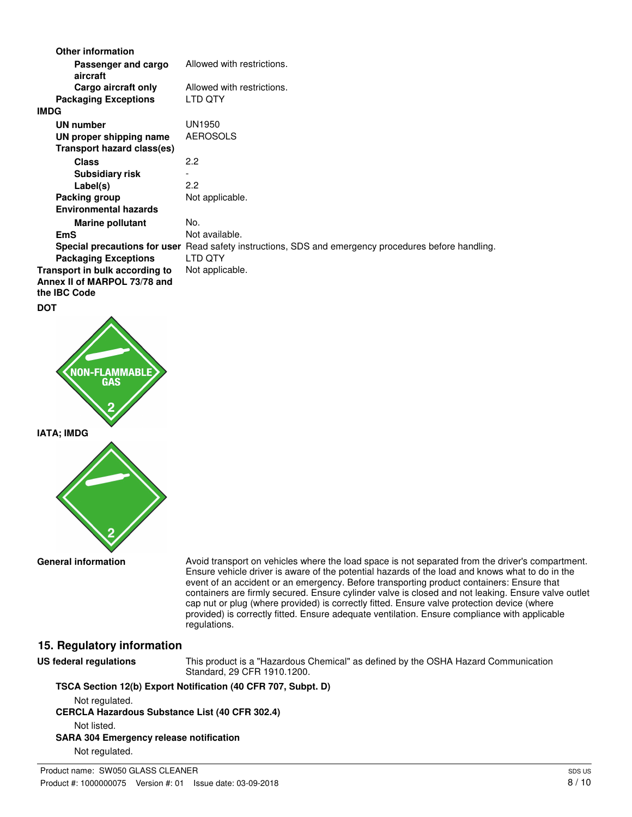| <b>Other information</b>                                                              |                                                                                                      |
|---------------------------------------------------------------------------------------|------------------------------------------------------------------------------------------------------|
| Passenger and cargo<br>aircraft                                                       | Allowed with restrictions.                                                                           |
| Cargo aircraft only                                                                   | Allowed with restrictions.                                                                           |
| <b>Packaging Exceptions</b>                                                           | LTD QTY                                                                                              |
| <b>IMDG</b>                                                                           |                                                                                                      |
| <b>UN number</b>                                                                      | <b>UN1950</b>                                                                                        |
| UN proper shipping name                                                               | <b>AEROSOLS</b>                                                                                      |
| Transport hazard class(es)                                                            |                                                                                                      |
| <b>Class</b>                                                                          | 2.2                                                                                                  |
| <b>Subsidiary risk</b>                                                                |                                                                                                      |
| Label(s)                                                                              | 2.2                                                                                                  |
| Packing group                                                                         | Not applicable.                                                                                      |
| <b>Environmental hazards</b>                                                          |                                                                                                      |
| <b>Marine pollutant</b>                                                               | No.                                                                                                  |
| <b>EmS</b>                                                                            | Not available.                                                                                       |
|                                                                                       | Special precautions for user Read safety instructions, SDS and emergency procedures before handling. |
| <b>Packaging Exceptions</b>                                                           | LTD QTY                                                                                              |
| Transport in bulk according to<br>Annex II of MARPOL 73/78 and<br>the <b>IBC</b> Code | Not applicable.                                                                                      |
| <b>DOT</b>                                                                            |                                                                                                      |



**General information**

Avoid transport on vehicles where the load space is not separated from the driver's compartment. Ensure vehicle driver is aware of the potential hazards of the load and knows what to do in the event of an accident or an emergency. Before transporting product containers: Ensure that containers are firmly secured. Ensure cylinder valve is closed and not leaking. Ensure valve outlet cap nut or plug (where provided) is correctly fitted. Ensure valve protection device (where provided) is correctly fitted. Ensure adequate ventilation. Ensure compliance with applicable regulations.

#### **15. Regulatory information**

**US federal regulations**

This product is a "Hazardous Chemical" as defined by the OSHA Hazard Communication Standard, 29 CFR 1910.1200.

**TSCA Section 12(b) Export Notification (40 CFR 707, Subpt. D)**

Not regulated.

**CERCLA Hazardous Substance List (40 CFR 302.4)** Not listed.

**SARA 304 Emergency release notification**

Not regulated.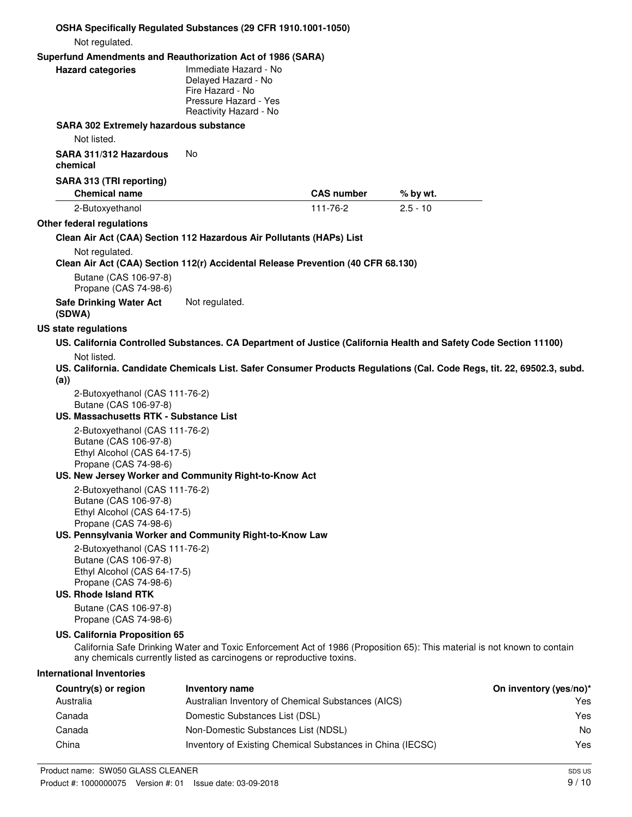|                                                                                                                                                | OSHA Specifically Regulated Substances (29 CFR 1910.1001-1050)                                                                                                                                    |                   |            |                               |
|------------------------------------------------------------------------------------------------------------------------------------------------|---------------------------------------------------------------------------------------------------------------------------------------------------------------------------------------------------|-------------------|------------|-------------------------------|
| Not regulated.                                                                                                                                 |                                                                                                                                                                                                   |                   |            |                               |
| <b>Hazard categories</b>                                                                                                                       | Superfund Amendments and Reauthorization Act of 1986 (SARA)<br>Immediate Hazard - No<br>Delayed Hazard - No<br>Fire Hazard - No<br>Pressure Hazard - Yes<br>Reactivity Hazard - No                |                   |            |                               |
| <b>SARA 302 Extremely hazardous substance</b><br>Not listed.                                                                                   |                                                                                                                                                                                                   |                   |            |                               |
| SARA 311/312 Hazardous<br>chemical                                                                                                             | No                                                                                                                                                                                                |                   |            |                               |
| SARA 313 (TRI reporting)<br><b>Chemical name</b>                                                                                               |                                                                                                                                                                                                   | <b>CAS number</b> | % by wt.   |                               |
| 2-Butoxyethanol                                                                                                                                |                                                                                                                                                                                                   | 111-76-2          | $2.5 - 10$ |                               |
| Other federal regulations                                                                                                                      |                                                                                                                                                                                                   |                   |            |                               |
|                                                                                                                                                | Clean Air Act (CAA) Section 112 Hazardous Air Pollutants (HAPs) List                                                                                                                              |                   |            |                               |
| Not regulated.<br>Butane (CAS 106-97-8)<br>Propane (CAS 74-98-6)<br><b>Safe Drinking Water Act</b>                                             | Clean Air Act (CAA) Section 112(r) Accidental Release Prevention (40 CFR 68.130)<br>Not regulated.                                                                                                |                   |            |                               |
| (SDWA)                                                                                                                                         |                                                                                                                                                                                                   |                   |            |                               |
| US state regulations                                                                                                                           |                                                                                                                                                                                                   |                   |            |                               |
|                                                                                                                                                | US. California Controlled Substances. CA Department of Justice (California Health and Safety Code Section 11100)                                                                                  |                   |            |                               |
| Not listed.<br>(a)                                                                                                                             | US. California. Candidate Chemicals List. Safer Consumer Products Regulations (Cal. Code Regs, tit. 22, 69502.3, subd.                                                                            |                   |            |                               |
| 2-Butoxyethanol (CAS 111-76-2)                                                                                                                 |                                                                                                                                                                                                   |                   |            |                               |
| Butane (CAS 106-97-8)                                                                                                                          |                                                                                                                                                                                                   |                   |            |                               |
| US. Massachusetts RTK - Substance List<br>2-Butoxyethanol (CAS 111-76-2)                                                                       |                                                                                                                                                                                                   |                   |            |                               |
| Butane (CAS 106-97-8)<br>Ethyl Alcohol (CAS 64-17-5)                                                                                           |                                                                                                                                                                                                   |                   |            |                               |
| Propane (CAS 74-98-6)                                                                                                                          | US. New Jersey Worker and Community Right-to-Know Act                                                                                                                                             |                   |            |                               |
| 2-Butoxyethanol (CAS 111-76-2)<br>Butane (CAS 106-97-8)<br>Ethyl Alcohol (CAS 64-17-5)<br>Propane (CAS 74-98-6)                                | US. Pennsylvania Worker and Community Right-to-Know Law                                                                                                                                           |                   |            |                               |
| 2-Butoxyethanol (CAS 111-76-2)<br>Butane (CAS 106-97-8)<br>Ethyl Alcohol (CAS 64-17-5)<br>Propane (CAS 74-98-6)<br><b>US. Rhode Island RTK</b> |                                                                                                                                                                                                   |                   |            |                               |
| Butane (CAS 106-97-8)<br>Propane (CAS 74-98-6)                                                                                                 |                                                                                                                                                                                                   |                   |            |                               |
| US. California Proposition 65                                                                                                                  | California Safe Drinking Water and Toxic Enforcement Act of 1986 (Proposition 65): This material is not known to contain<br>any chemicals currently listed as carcinogens or reproductive toxins. |                   |            |                               |
| <b>International Inventories</b>                                                                                                               |                                                                                                                                                                                                   |                   |            |                               |
| Country(s) or region<br>Australia                                                                                                              | Inventory name<br>Australian Inventory of Chemical Substances (AICS)                                                                                                                              |                   |            | On inventory (yes/no)*<br>Yes |
| Canada                                                                                                                                         | Domestic Substances List (DSL)                                                                                                                                                                    |                   |            | Yes                           |
| Canada                                                                                                                                         | Non-Domestic Substances List (NDSL)                                                                                                                                                               |                   |            | No.                           |
| China                                                                                                                                          | Inventory of Existing Chemical Substances in China (IECSC)                                                                                                                                        |                   |            | Yes                           |
|                                                                                                                                                |                                                                                                                                                                                                   |                   |            |                               |